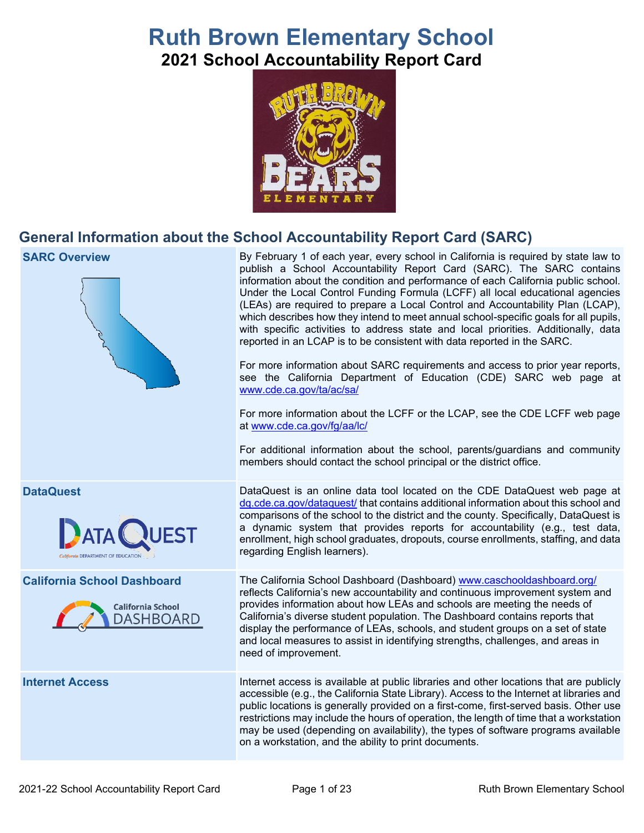# **Ruth Brown Elementary School 2021 School Accountability Report Card**



## **General Information about the School Accountability Report Card (SARC)**

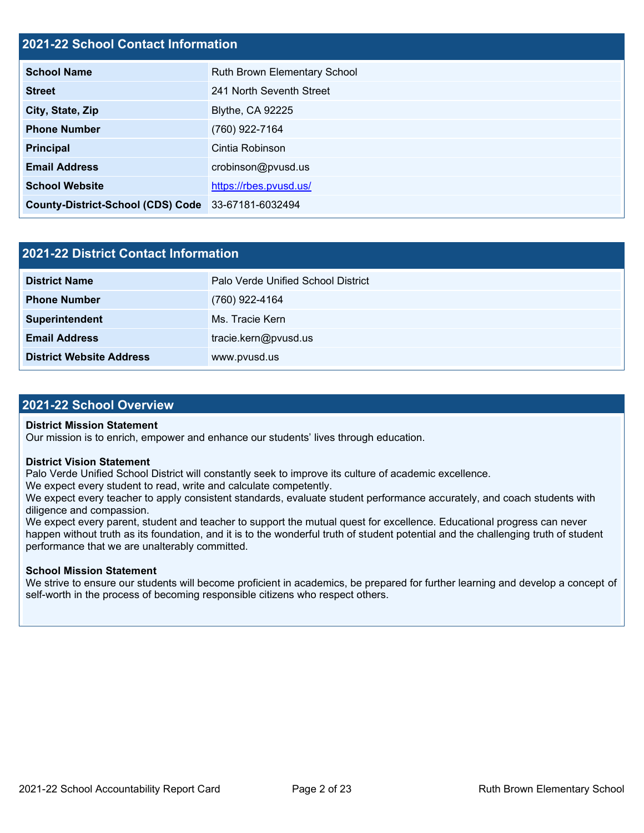## **2021-22 School Contact Information**

| <b>School Name</b>                                 | Ruth Brown Elementary School |  |  |  |  |  |
|----------------------------------------------------|------------------------------|--|--|--|--|--|
| <b>Street</b>                                      | 241 North Seventh Street     |  |  |  |  |  |
| City, State, Zip                                   | <b>Blythe, CA 92225</b>      |  |  |  |  |  |
| <b>Phone Number</b>                                | (760) 922-7164               |  |  |  |  |  |
| <b>Principal</b>                                   | Cintia Robinson              |  |  |  |  |  |
| <b>Email Address</b>                               | crobinson@pvusd.us           |  |  |  |  |  |
| <b>School Website</b>                              | https://rbes.pvusd.us/       |  |  |  |  |  |
| County-District-School (CDS) Code 33-67181-6032494 |                              |  |  |  |  |  |

| <b>2021-22 District Contact Information</b> |                                    |  |  |  |  |
|---------------------------------------------|------------------------------------|--|--|--|--|
| <b>District Name</b>                        | Palo Verde Unified School District |  |  |  |  |
| <b>Phone Number</b>                         | (760) 922-4164                     |  |  |  |  |
| Superintendent                              | Ms. Tracie Kern                    |  |  |  |  |
| <b>Email Address</b>                        | tracie.kern@pvusd.us               |  |  |  |  |
| <b>District Website Address</b>             | www.pvusd.us                       |  |  |  |  |

### **2021-22 School Overview**

#### **District Mission Statement**

Our mission is to enrich, empower and enhance our students' lives through education.

#### **District Vision Statement**

Palo Verde Unified School District will constantly seek to improve its culture of academic excellence.

We expect every student to read, write and calculate competently.

We expect every teacher to apply consistent standards, evaluate student performance accurately, and coach students with diligence and compassion.

We expect every parent, student and teacher to support the mutual quest for excellence. Educational progress can never happen without truth as its foundation, and it is to the wonderful truth of student potential and the challenging truth of student performance that we are unalterably committed.

#### **School Mission Statement**

We strive to ensure our students will become proficient in academics, be prepared for further learning and develop a concept of self-worth in the process of becoming responsible citizens who respect others.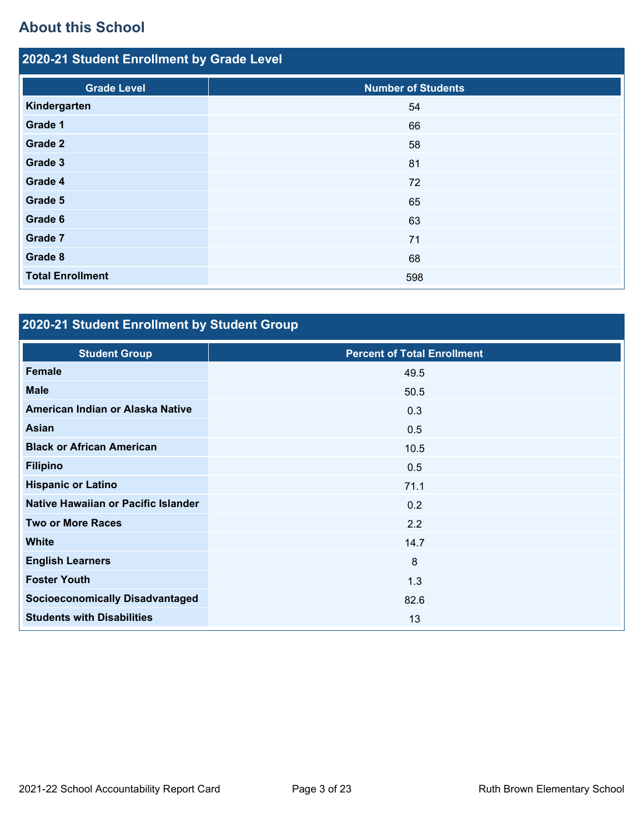## **About this School**

| 2020-21 Student Enrollment by Grade Level |                           |  |  |  |  |
|-------------------------------------------|---------------------------|--|--|--|--|
| <b>Grade Level</b>                        | <b>Number of Students</b> |  |  |  |  |
| Kindergarten                              | 54                        |  |  |  |  |
| Grade 1                                   | 66                        |  |  |  |  |
| Grade 2                                   | 58                        |  |  |  |  |
| Grade 3                                   | 81                        |  |  |  |  |
| Grade 4                                   | 72                        |  |  |  |  |
| Grade 5                                   | 65                        |  |  |  |  |
| Grade 6                                   | 63                        |  |  |  |  |
| Grade 7                                   | 71                        |  |  |  |  |
| Grade 8                                   | 68                        |  |  |  |  |
| <b>Total Enrollment</b>                   | 598                       |  |  |  |  |

## **2020-21 Student Enrollment by Student Group**

| <b>Student Group</b>                   | <b>Percent of Total Enrollment</b> |
|----------------------------------------|------------------------------------|
| Female                                 | 49.5                               |
| <b>Male</b>                            | 50.5                               |
| American Indian or Alaska Native       | 0.3                                |
| Asian                                  | 0.5                                |
| <b>Black or African American</b>       | 10.5                               |
| <b>Filipino</b>                        | 0.5                                |
| <b>Hispanic or Latino</b>              | 71.1                               |
| Native Hawaiian or Pacific Islander    | 0.2                                |
| <b>Two or More Races</b>               | 2.2                                |
| <b>White</b>                           | 14.7                               |
| <b>English Learners</b>                | 8                                  |
| <b>Foster Youth</b>                    | 1.3                                |
| <b>Socioeconomically Disadvantaged</b> | 82.6                               |
| <b>Students with Disabilities</b>      | 13                                 |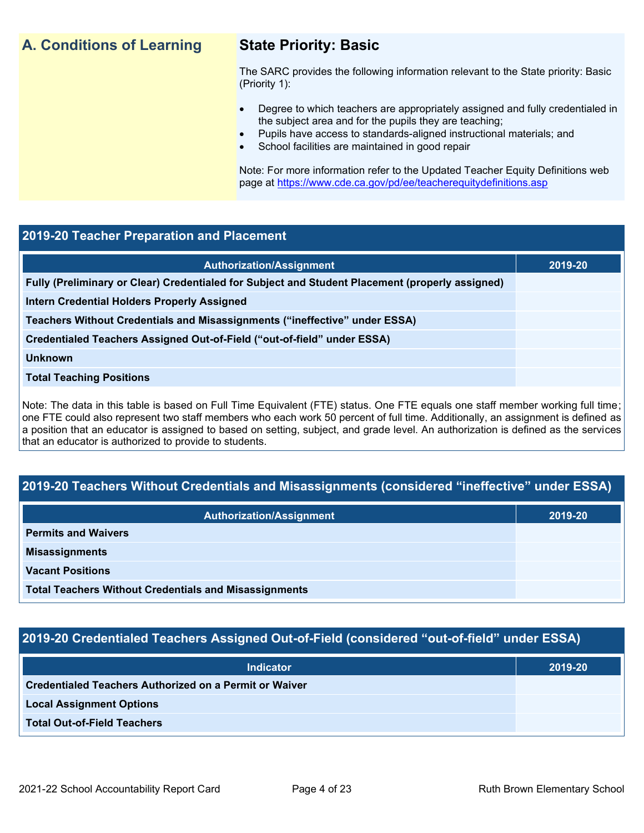## **A. Conditions of Learning State Priority: Basic**

The SARC provides the following information relevant to the State priority: Basic (Priority 1):

- Degree to which teachers are appropriately assigned and fully credentialed in the subject area and for the pupils they are teaching;
	- Pupils have access to standards-aligned instructional materials; and
- School facilities are maintained in good repair

Note: For more information refer to the Updated Teacher Equity Definitions web page at<https://www.cde.ca.gov/pd/ee/teacherequitydefinitions.asp>

## **2019-20 Teacher Preparation and Placement**

| <b>Authorization/Assignment</b>                                                                 | 2019-20 |
|-------------------------------------------------------------------------------------------------|---------|
| Fully (Preliminary or Clear) Credentialed for Subject and Student Placement (properly assigned) |         |
| Intern Credential Holders Properly Assigned                                                     |         |
| Teachers Without Credentials and Misassignments ("ineffective" under ESSA)                      |         |
| Credentialed Teachers Assigned Out-of-Field ("out-of-field" under ESSA)                         |         |
| <b>Unknown</b>                                                                                  |         |
| <b>Total Teaching Positions</b>                                                                 |         |
|                                                                                                 |         |

Note: The data in this table is based on Full Time Equivalent (FTE) status. One FTE equals one staff member working full time; one FTE could also represent two staff members who each work 50 percent of full time. Additionally, an assignment is defined as a position that an educator is assigned to based on setting, subject, and grade level. An authorization is defined as the services that an educator is authorized to provide to students.

## **2019-20 Teachers Without Credentials and Misassignments (considered "ineffective" under ESSA)**

| <b>Authorization/Assignment</b>                              | 2019-20 |
|--------------------------------------------------------------|---------|
| <b>Permits and Waivers</b>                                   |         |
| <b>Misassignments</b>                                        |         |
| <b>Vacant Positions</b>                                      |         |
| <b>Total Teachers Without Credentials and Misassignments</b> |         |

## **2019-20 Credentialed Teachers Assigned Out-of-Field (considered "out-of-field" under ESSA)**

| <b>Indicator</b>                                       | 2019-20 |
|--------------------------------------------------------|---------|
| Credentialed Teachers Authorized on a Permit or Waiver |         |
| <b>Local Assignment Options</b>                        |         |
| <b>Total Out-of-Field Teachers</b>                     |         |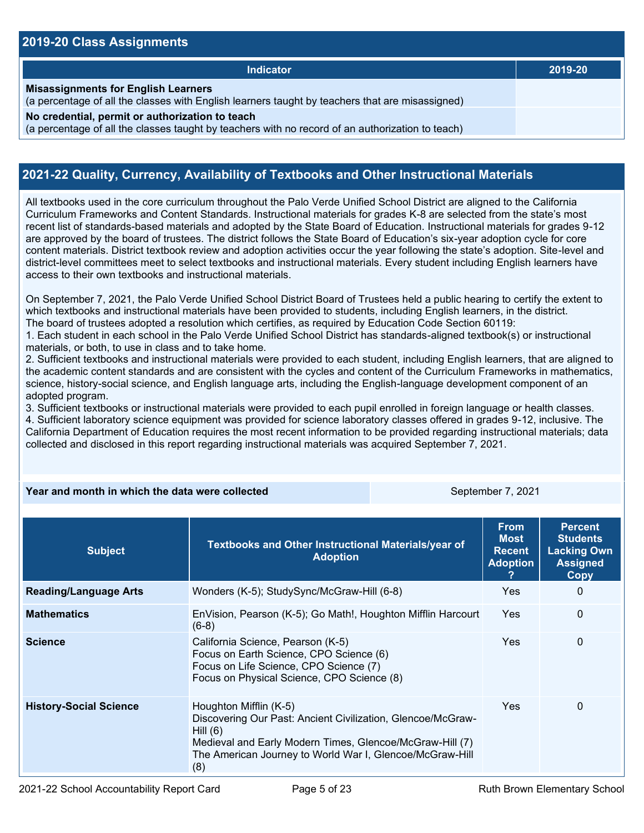### **2019-20 Class Assignments**

| <b>Indicator</b>                                                                                                                                    | 2019-20 |
|-----------------------------------------------------------------------------------------------------------------------------------------------------|---------|
| <b>Misassignments for English Learners</b><br>(a percentage of all the classes with English learners taught by teachers that are misassigned)       |         |
| No credential, permit or authorization to teach<br>(a percentage of all the classes taught by teachers with no record of an authorization to teach) |         |

## **2021-22 Quality, Currency, Availability of Textbooks and Other Instructional Materials**

All textbooks used in the core curriculum throughout the Palo Verde Unified School District are aligned to the California Curriculum Frameworks and Content Standards. Instructional materials for grades K-8 are selected from the state's most recent list of standards-based materials and adopted by the State Board of Education. Instructional materials for grades 9-12 are approved by the board of trustees. The district follows the State Board of Education's six-year adoption cycle for core content materials. District textbook review and adoption activities occur the year following the state's adoption. Site-level and district-level committees meet to select textbooks and instructional materials. Every student including English learners have access to their own textbooks and instructional materials.

On September 7, 2021, the Palo Verde Unified School District Board of Trustees held a public hearing to certify the extent to which textbooks and instructional materials have been provided to students, including English learners, in the district. The board of trustees adopted a resolution which certifies, as required by Education Code Section 60119:

1. Each student in each school in the Palo Verde Unified School District has standards-aligned textbook(s) or instructional materials, or both, to use in class and to take home.

2. Sufficient textbooks and instructional materials were provided to each student, including English learners, that are aligned to the academic content standards and are consistent with the cycles and content of the Curriculum Frameworks in mathematics, science, history-social science, and English language arts, including the English-language development component of an adopted program.

3. Sufficient textbooks or instructional materials were provided to each pupil enrolled in foreign language or health classes. 4. Sufficient laboratory science equipment was provided for science laboratory classes offered in grades 9-12, inclusive. The California Department of Education requires the most recent information to be provided regarding instructional materials; data collected and disclosed in this report regarding instructional materials was acquired September 7, 2021.

### **Year and month in which the data were collected** September 7, 2021

| <b>Subject</b>                | Textbooks and Other Instructional Materials/year of<br><b>Adoption</b>                                                                                                                                                             | <b>From</b><br><b>Most</b><br><b>Recent</b><br><b>Adoption</b> | <b>Percent</b><br><b>Students</b><br><b>Lacking Own</b><br><b>Assigned</b><br>Copy |
|-------------------------------|------------------------------------------------------------------------------------------------------------------------------------------------------------------------------------------------------------------------------------|----------------------------------------------------------------|------------------------------------------------------------------------------------|
| <b>Reading/Language Arts</b>  | Wonders (K-5); StudySync/McGraw-Hill (6-8)                                                                                                                                                                                         | Yes                                                            | 0                                                                                  |
| <b>Mathematics</b>            | EnVision, Pearson (K-5); Go Math!, Houghton Mifflin Harcourt<br>$(6-8)$                                                                                                                                                            | <b>Yes</b>                                                     | 0                                                                                  |
| <b>Science</b>                | California Science, Pearson (K-5)<br>Focus on Earth Science, CPO Science (6)<br>Focus on Life Science, CPO Science (7)<br>Focus on Physical Science, CPO Science (8)                                                               | Yes.                                                           | 0                                                                                  |
| <b>History-Social Science</b> | Houghton Mifflin (K-5)<br>Discovering Our Past: Ancient Civilization, Glencoe/McGraw-<br>Hill $(6)$<br>Medieval and Early Modern Times, Glencoe/McGraw-Hill (7)<br>The American Journey to World War I, Glencoe/McGraw-Hill<br>(8) | <b>Yes</b>                                                     | $\Omega$                                                                           |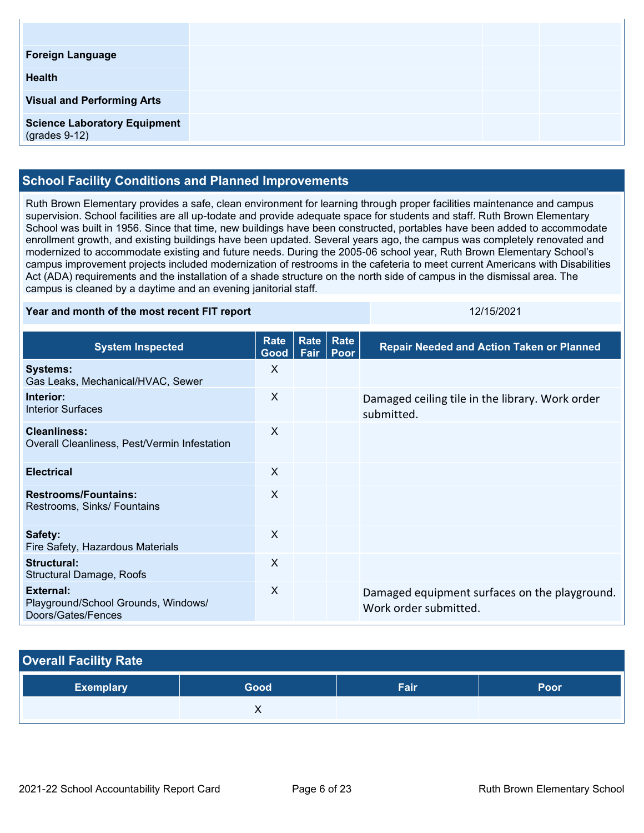| <b>Foreign Language</b>                                |  |
|--------------------------------------------------------|--|
| <b>Health</b>                                          |  |
| <b>Visual and Performing Arts</b>                      |  |
| <b>Science Laboratory Equipment</b><br>$(grades 9-12)$ |  |

## **School Facility Conditions and Planned Improvements**

Ruth Brown Elementary provides a safe, clean environment for learning through proper facilities maintenance and campus supervision. School facilities are all up-todate and provide adequate space for students and staff. Ruth Brown Elementary School was built in 1956. Since that time, new buildings have been constructed, portables have been added to accommodate enrollment growth, and existing buildings have been updated. Several years ago, the campus was completely renovated and modernized to accommodate existing and future needs. During the 2005-06 school year, Ruth Brown Elementary School's campus improvement projects included modernization of restrooms in the cafeteria to meet current Americans with Disabilities Act (ADA) requirements and the installation of a shade structure on the north side of campus in the dismissal area. The campus is cleaned by a daytime and an evening janitorial staff.

#### **Year and month of the most recent FIT report** 12015/2021 12/15/2021

| <b>System Inspected</b>                                                | <b>Rate</b><br>Good | Rate<br>Fair | Rate<br>Poor | <b>Repair Needed and Action Taken or Planned</b>                       |
|------------------------------------------------------------------------|---------------------|--------------|--------------|------------------------------------------------------------------------|
| <b>Systems:</b><br>Gas Leaks, Mechanical/HVAC, Sewer                   | X                   |              |              |                                                                        |
| Interior:<br><b>Interior Surfaces</b>                                  | X                   |              |              | Damaged ceiling tile in the library. Work order<br>submitted.          |
| <b>Cleanliness:</b><br>Overall Cleanliness, Pest/Vermin Infestation    | X                   |              |              |                                                                        |
| <b>Electrical</b>                                                      | X                   |              |              |                                                                        |
| <b>Restrooms/Fountains:</b><br>Restrooms, Sinks/ Fountains             | X                   |              |              |                                                                        |
| Safety:<br>Fire Safety, Hazardous Materials                            | $\mathsf{X}$        |              |              |                                                                        |
| <b>Structural:</b><br><b>Structural Damage, Roofs</b>                  | X                   |              |              |                                                                        |
| External:<br>Playground/School Grounds, Windows/<br>Doors/Gates/Fences | X                   |              |              | Damaged equipment surfaces on the playground.<br>Work order submitted. |

| <b>Overall Facility Rate</b> |      |      |             |  |  |
|------------------------------|------|------|-------------|--|--|
| <b>Exemplary</b>             | Good | Fair | <b>Poor</b> |  |  |
|                              |      |      |             |  |  |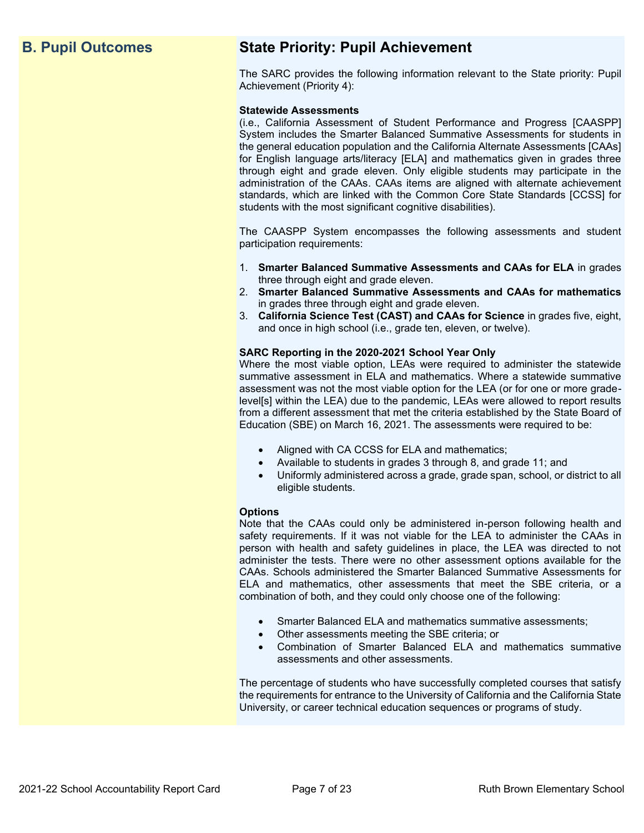## **B. Pupil Outcomes State Priority: Pupil Achievement**

The SARC provides the following information relevant to the State priority: Pupil Achievement (Priority 4):

#### **Statewide Assessments**

(i.e., California Assessment of Student Performance and Progress [CAASPP] System includes the Smarter Balanced Summative Assessments for students in the general education population and the California Alternate Assessments [CAAs] for English language arts/literacy [ELA] and mathematics given in grades three through eight and grade eleven. Only eligible students may participate in the administration of the CAAs. CAAs items are aligned with alternate achievement standards, which are linked with the Common Core State Standards [CCSS] for students with the most significant cognitive disabilities).

The CAASPP System encompasses the following assessments and student participation requirements:

- 1. **Smarter Balanced Summative Assessments and CAAs for ELA** in grades three through eight and grade eleven.
- 2. **Smarter Balanced Summative Assessments and CAAs for mathematics** in grades three through eight and grade eleven.
- 3. **California Science Test (CAST) and CAAs for Science** in grades five, eight, and once in high school (i.e., grade ten, eleven, or twelve).

#### **SARC Reporting in the 2020-2021 School Year Only**

Where the most viable option, LEAs were required to administer the statewide summative assessment in ELA and mathematics. Where a statewide summative assessment was not the most viable option for the LEA (or for one or more gradelevel[s] within the LEA) due to the pandemic, LEAs were allowed to report results from a different assessment that met the criteria established by the State Board of Education (SBE) on March 16, 2021. The assessments were required to be:

- Aligned with CA CCSS for ELA and mathematics;
- Available to students in grades 3 through 8, and grade 11; and
- Uniformly administered across a grade, grade span, school, or district to all eligible students.

#### **Options**

Note that the CAAs could only be administered in-person following health and safety requirements. If it was not viable for the LEA to administer the CAAs in person with health and safety guidelines in place, the LEA was directed to not administer the tests. There were no other assessment options available for the CAAs. Schools administered the Smarter Balanced Summative Assessments for ELA and mathematics, other assessments that meet the SBE criteria, or a combination of both, and they could only choose one of the following:

- Smarter Balanced ELA and mathematics summative assessments;
- Other assessments meeting the SBE criteria; or
- Combination of Smarter Balanced ELA and mathematics summative assessments and other assessments.

The percentage of students who have successfully completed courses that satisfy the requirements for entrance to the University of California and the California State University, or career technical education sequences or programs of study.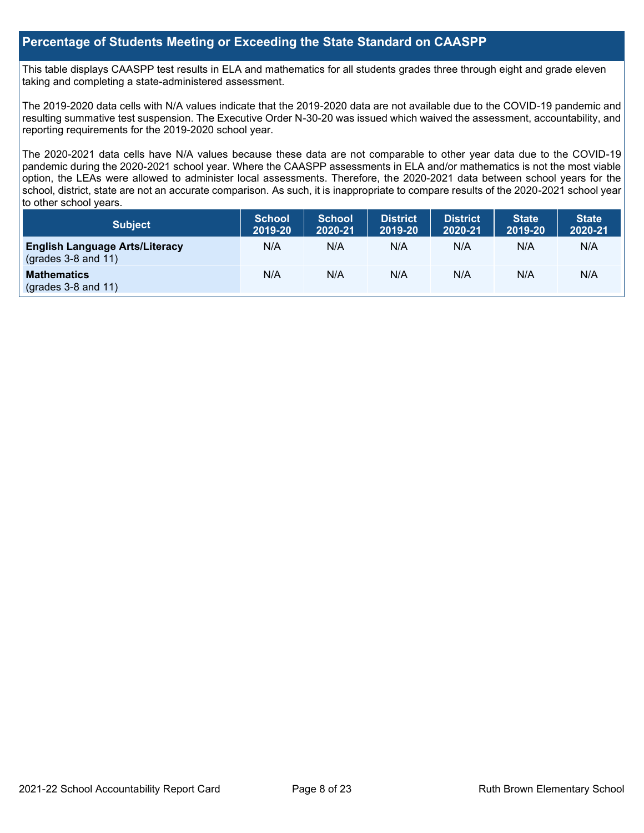## **Percentage of Students Meeting or Exceeding the State Standard on CAASPP**

This table displays CAASPP test results in ELA and mathematics for all students grades three through eight and grade eleven taking and completing a state-administered assessment.

The 2019-2020 data cells with N/A values indicate that the 2019-2020 data are not available due to the COVID-19 pandemic and resulting summative test suspension. The Executive Order N-30-20 was issued which waived the assessment, accountability, and reporting requirements for the 2019-2020 school year.

The 2020-2021 data cells have N/A values because these data are not comparable to other year data due to the COVID-19 pandemic during the 2020-2021 school year. Where the CAASPP assessments in ELA and/or mathematics is not the most viable option, the LEAs were allowed to administer local assessments. Therefore, the 2020-2021 data between school years for the school, district, state are not an accurate comparison. As such, it is inappropriate to compare results of the 2020-2021 school year to other school years.

| Subject                                                              | <b>School</b><br>2019-20 | <b>School</b><br>2020-21 | <b>District</b><br>2019-20 | <b>District</b><br>2020-21 | <b>State</b><br>2019-20 | <b>State</b><br>2020-21 |
|----------------------------------------------------------------------|--------------------------|--------------------------|----------------------------|----------------------------|-------------------------|-------------------------|
| <b>English Language Arts/Literacy</b><br>$\left($ grades 3-8 and 11) | N/A                      | N/A                      | N/A                        | N/A                        | N/A                     | N/A                     |
| <b>Mathematics</b><br>$(grades 3-8 and 11)$                          | N/A                      | N/A                      | N/A                        | N/A                        | N/A                     | N/A                     |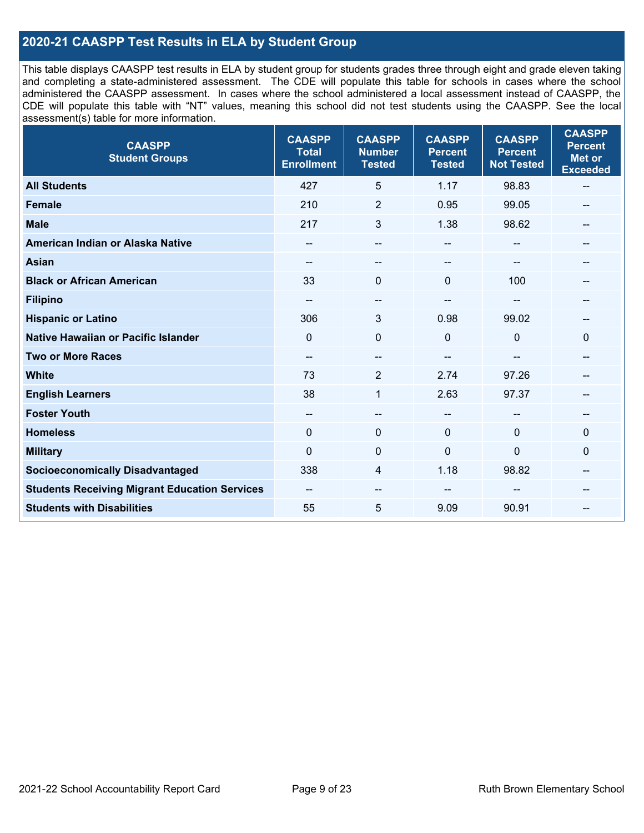## **2020-21 CAASPP Test Results in ELA by Student Group**

This table displays CAASPP test results in ELA by student group for students grades three through eight and grade eleven taking and completing a state-administered assessment. The CDE will populate this table for schools in cases where the school administered the CAASPP assessment. In cases where the school administered a local assessment instead of CAASPP, the CDE will populate this table with "NT" values, meaning this school did not test students using the CAASPP. See the local assessment(s) table for more information.

| <b>CAASPP</b><br><b>Student Groups</b>               | <b>CAASPP</b><br><b>Total</b><br><b>Enrollment</b> | <b>CAASPP</b><br><b>Number</b><br><b>Tested</b> | <b>CAASPP</b><br><b>Percent</b><br><b>Tested</b> | <b>CAASPP</b><br><b>Percent</b><br><b>Not Tested</b> | <b>CAASPP</b><br><b>Percent</b><br><b>Met or</b><br><b>Exceeded</b> |
|------------------------------------------------------|----------------------------------------------------|-------------------------------------------------|--------------------------------------------------|------------------------------------------------------|---------------------------------------------------------------------|
| <b>All Students</b>                                  | 427                                                | 5                                               | 1.17                                             | 98.83                                                | $\overline{\phantom{a}}$                                            |
| <b>Female</b>                                        | 210                                                | $\overline{2}$                                  | 0.95                                             | 99.05                                                |                                                                     |
| <b>Male</b>                                          | 217                                                | 3                                               | 1.38                                             | 98.62                                                | --                                                                  |
| American Indian or Alaska Native                     | --                                                 | $\qquad \qquad -$                               | --                                               | --                                                   | --                                                                  |
| <b>Asian</b>                                         |                                                    | --                                              |                                                  |                                                      |                                                                     |
| <b>Black or African American</b>                     | 33                                                 | $\mathbf 0$                                     | $\mathbf{0}$                                     | 100                                                  | --                                                                  |
| <b>Filipino</b>                                      | --                                                 | $-$                                             | $-$                                              |                                                      |                                                                     |
| <b>Hispanic or Latino</b>                            | 306                                                | 3                                               | 0.98                                             | 99.02                                                | --                                                                  |
| Native Hawaiian or Pacific Islander                  | $\mathbf{0}$                                       | $\mathbf 0$                                     | $\mathbf 0$                                      | 0                                                    | $\mathbf 0$                                                         |
| <b>Two or More Races</b>                             | $\sim$                                             | $-$                                             |                                                  | --                                                   |                                                                     |
| <b>White</b>                                         | 73                                                 | $\overline{2}$                                  | 2.74                                             | 97.26                                                | $\hspace{0.05cm}$ – $\hspace{0.05cm}$                               |
| <b>English Learners</b>                              | 38                                                 | $\mathbf{1}$                                    | 2.63                                             | 97.37                                                |                                                                     |
| <b>Foster Youth</b>                                  | --                                                 | $\qquad \qquad -$                               | --                                               |                                                      | --                                                                  |
| <b>Homeless</b>                                      | $\mathbf{0}$                                       | $\pmb{0}$                                       | $\mathbf 0$                                      | $\Omega$                                             | $\mathbf 0$                                                         |
| <b>Military</b>                                      | $\mathbf 0$                                        | $\pmb{0}$                                       | $\mathbf 0$                                      | 0                                                    | 0                                                                   |
| <b>Socioeconomically Disadvantaged</b>               | 338                                                | 4                                               | 1.18                                             | 98.82                                                | --                                                                  |
| <b>Students Receiving Migrant Education Services</b> | --                                                 | --                                              |                                                  |                                                      |                                                                     |
| <b>Students with Disabilities</b>                    | 55                                                 | 5                                               | 9.09                                             | 90.91                                                | --                                                                  |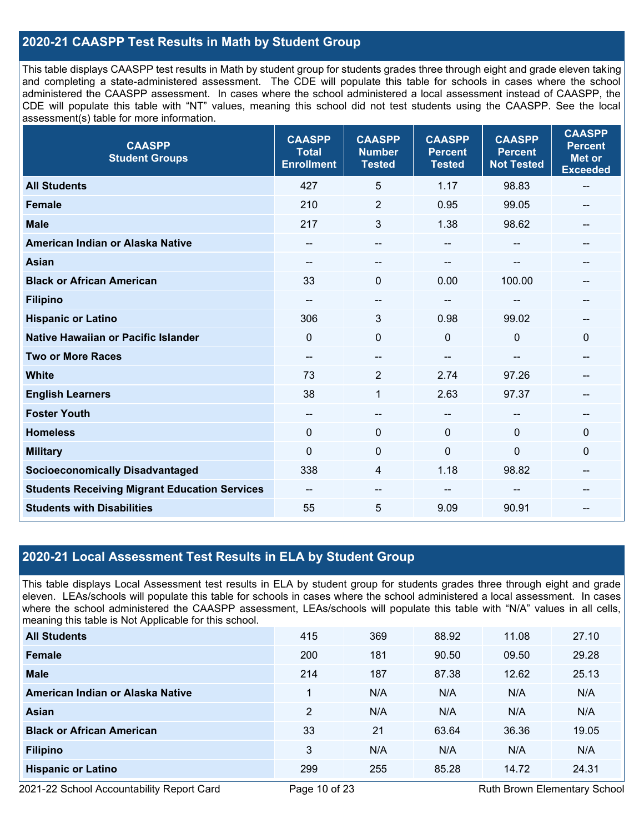## **2020-21 CAASPP Test Results in Math by Student Group**

This table displays CAASPP test results in Math by student group for students grades three through eight and grade eleven taking and completing a state-administered assessment. The CDE will populate this table for schools in cases where the school administered the CAASPP assessment. In cases where the school administered a local assessment instead of CAASPP, the CDE will populate this table with "NT" values, meaning this school did not test students using the CAASPP. See the local assessment(s) table for more information.

| <b>CAASPP</b><br><b>Student Groups</b>               | <b>CAASPP</b><br><b>Total</b><br><b>Enrollment</b> | <b>CAASPP</b><br><b>Number</b><br><b>Tested</b> | <b>CAASPP</b><br><b>Percent</b><br><b>Tested</b> | <b>CAASPP</b><br><b>Percent</b><br><b>Not Tested</b> | <b>CAASPP</b><br><b>Percent</b><br><b>Met or</b><br><b>Exceeded</b> |
|------------------------------------------------------|----------------------------------------------------|-------------------------------------------------|--------------------------------------------------|------------------------------------------------------|---------------------------------------------------------------------|
| <b>All Students</b>                                  | 427                                                | 5                                               | 1.17                                             | 98.83                                                | $\overline{\phantom{a}}$                                            |
| <b>Female</b>                                        | 210                                                | $\overline{2}$                                  | 0.95                                             | 99.05                                                |                                                                     |
| <b>Male</b>                                          | 217                                                | 3                                               | 1.38                                             | 98.62                                                | --                                                                  |
| American Indian or Alaska Native                     | $- -$                                              | $\qquad \qquad -$                               | --                                               | --                                                   | --                                                                  |
| <b>Asian</b>                                         |                                                    | --                                              |                                                  |                                                      |                                                                     |
| <b>Black or African American</b>                     | 33                                                 | $\Omega$                                        | 0.00                                             | 100.00                                               | --                                                                  |
| <b>Filipino</b>                                      | --                                                 | --                                              | --                                               |                                                      |                                                                     |
| <b>Hispanic or Latino</b>                            | 306                                                | 3                                               | 0.98                                             | 99.02                                                | $\overline{a}$                                                      |
| <b>Native Hawaiian or Pacific Islander</b>           | $\mathbf{0}$                                       | $\mathbf 0$                                     | $\Omega$                                         | $\mathbf 0$                                          | $\mathbf 0$                                                         |
| <b>Two or More Races</b>                             | --                                                 | --                                              | --                                               |                                                      | --                                                                  |
| <b>White</b>                                         | 73                                                 | $\overline{2}$                                  | 2.74                                             | 97.26                                                | --                                                                  |
| <b>English Learners</b>                              | 38                                                 | $\mathbf{1}$                                    | 2.63                                             | 97.37                                                | --                                                                  |
| <b>Foster Youth</b>                                  | --                                                 | --                                              | --                                               |                                                      |                                                                     |
| <b>Homeless</b>                                      | $\mathbf{0}$                                       | $\mathbf 0$                                     | $\mathbf 0$                                      | $\Omega$                                             | $\mathbf 0$                                                         |
| <b>Military</b>                                      | $\mathbf 0$                                        | $\pmb{0}$                                       | 0                                                | $\mathbf 0$                                          | $\mathbf 0$                                                         |
| <b>Socioeconomically Disadvantaged</b>               | 338                                                | 4                                               | 1.18                                             | 98.82                                                | --                                                                  |
| <b>Students Receiving Migrant Education Services</b> |                                                    | --                                              |                                                  |                                                      |                                                                     |
| <b>Students with Disabilities</b>                    | 55                                                 | 5                                               | 9.09                                             | 90.91                                                |                                                                     |

## **2020-21 Local Assessment Test Results in ELA by Student Group**

This table displays Local Assessment test results in ELA by student group for students grades three through eight and grade eleven. LEAs/schools will populate this table for schools in cases where the school administered a local assessment. In cases where the school administered the CAASPP assessment, LEAs/schools will populate this table with "N/A" values in all cells, meaning this table is Not Applicable for this school.

| <b>All Students</b>              | 415            | 369 | 88.92 | 11.08 | 27.10 |
|----------------------------------|----------------|-----|-------|-------|-------|
| Female                           | 200            | 181 | 90.50 | 09.50 | 29.28 |
| <b>Male</b>                      | 214            | 187 | 87.38 | 12.62 | 25.13 |
| American Indian or Alaska Native |                | N/A | N/A   | N/A   | N/A   |
| Asian                            | $\overline{2}$ | N/A | N/A   | N/A   | N/A   |
| <b>Black or African American</b> | 33             | 21  | 63.64 | 36.36 | 19.05 |
| <b>Filipino</b>                  | 3              | N/A | N/A   | N/A   | N/A   |
| <b>Hispanic or Latino</b>        | 299            | 255 | 85.28 | 14.72 | 24.31 |

2021-22 School Accountability Report Card **Page 10 of 23** Ruth Brown Elementary School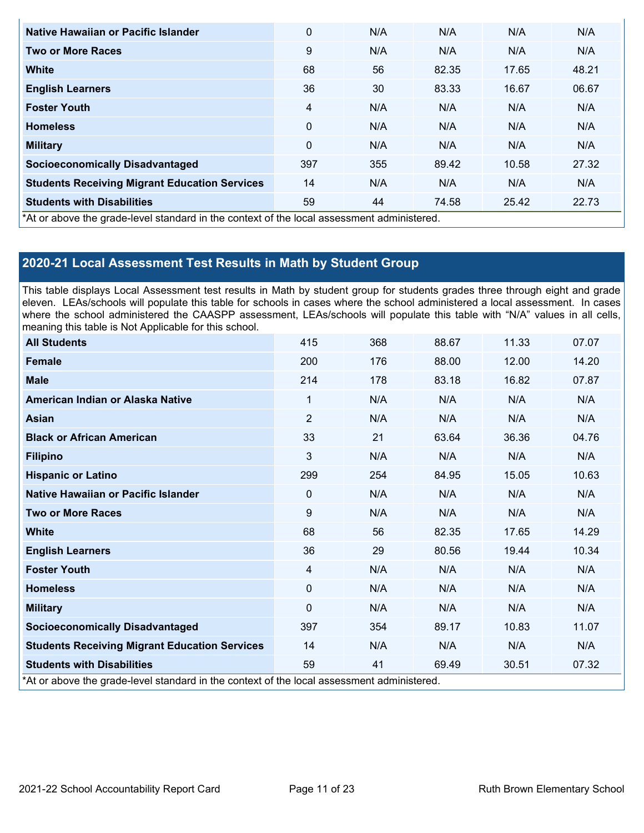| Native Hawaiian or Pacific Islander                                                        | $\mathbf 0$  | N/A | N/A   | N/A   | N/A   |
|--------------------------------------------------------------------------------------------|--------------|-----|-------|-------|-------|
| Two or More Races                                                                          | 9            | N/A | N/A   | N/A   | N/A   |
| <b>White</b>                                                                               | 68           | 56  | 82.35 | 17.65 | 48.21 |
| <b>English Learners</b>                                                                    | 36           | 30  | 83.33 | 16.67 | 06.67 |
| <b>Foster Youth</b>                                                                        | 4            | N/A | N/A   | N/A   | N/A   |
| <b>Homeless</b>                                                                            | $\mathbf{0}$ | N/A | N/A   | N/A   | N/A   |
| <b>Military</b>                                                                            | $\mathbf{0}$ | N/A | N/A   | N/A   | N/A   |
| <b>Socioeconomically Disadvantaged</b>                                                     | 397          | 355 | 89.42 | 10.58 | 27.32 |
| <b>Students Receiving Migrant Education Services</b>                                       | 14           | N/A | N/A   | N/A   | N/A   |
| <b>Students with Disabilities</b>                                                          | 59           | 44  | 74.58 | 25.42 | 22.73 |
| *At or above the grade-level standard in the context of the local assessment administered. |              |     |       |       |       |

## **2020-21 Local Assessment Test Results in Math by Student Group**

This table displays Local Assessment test results in Math by student group for students grades three through eight and grade eleven. LEAs/schools will populate this table for schools in cases where the school administered a local assessment. In cases where the school administered the CAASPP assessment, LEAs/schools will populate this table with "N/A" values in all cells, meaning this table is Not Applicable for this school.

| <b>All Students</b>                                                                        | 415            | 368 | 88.67 | 11.33 | 07.07 |
|--------------------------------------------------------------------------------------------|----------------|-----|-------|-------|-------|
| <b>Female</b>                                                                              | 200            | 176 | 88.00 | 12.00 | 14.20 |
| <b>Male</b>                                                                                | 214            | 178 | 83.18 | 16.82 | 07.87 |
| American Indian or Alaska Native                                                           | $\mathbf{1}$   | N/A | N/A   | N/A   | N/A   |
| <b>Asian</b>                                                                               | $\overline{2}$ | N/A | N/A   | N/A   | N/A   |
| <b>Black or African American</b>                                                           | 33             | 21  | 63.64 | 36.36 | 04.76 |
| <b>Filipino</b>                                                                            | 3              | N/A | N/A   | N/A   | N/A   |
| <b>Hispanic or Latino</b>                                                                  | 299            | 254 | 84.95 | 15.05 | 10.63 |
| Native Hawaiian or Pacific Islander                                                        | $\Omega$       | N/A | N/A   | N/A   | N/A   |
| <b>Two or More Races</b>                                                                   | 9              | N/A | N/A   | N/A   | N/A   |
| <b>White</b>                                                                               | 68             | 56  | 82.35 | 17.65 | 14.29 |
| <b>English Learners</b>                                                                    | 36             | 29  | 80.56 | 19.44 | 10.34 |
| <b>Foster Youth</b>                                                                        | 4              | N/A | N/A   | N/A   | N/A   |
| <b>Homeless</b>                                                                            | $\Omega$       | N/A | N/A   | N/A   | N/A   |
| <b>Military</b>                                                                            | $\Omega$       | N/A | N/A   | N/A   | N/A   |
| <b>Socioeconomically Disadvantaged</b>                                                     | 397            | 354 | 89.17 | 10.83 | 11.07 |
| <b>Students Receiving Migrant Education Services</b>                                       | 14             | N/A | N/A   | N/A   | N/A   |
| <b>Students with Disabilities</b>                                                          | 59             | 41  | 69.49 | 30.51 | 07.32 |
| *At or above the grade-level standard in the context of the local assessment administered. |                |     |       |       |       |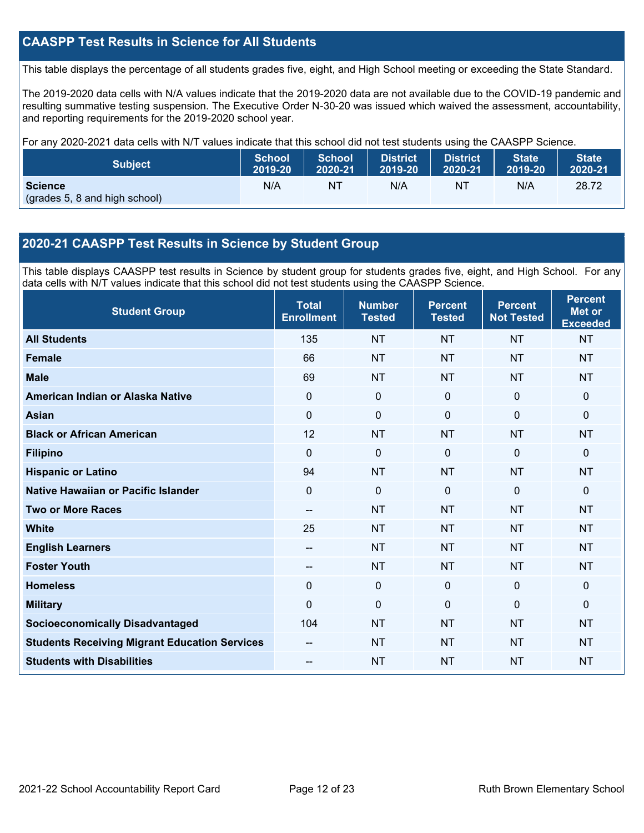## **CAASPP Test Results in Science for All Students**

This table displays the percentage of all students grades five, eight, and High School meeting or exceeding the State Standard.

The 2019-2020 data cells with N/A values indicate that the 2019-2020 data are not available due to the COVID-19 pandemic and resulting summative testing suspension. The Executive Order N-30-20 was issued which waived the assessment, accountability, and reporting requirements for the 2019-2020 school year.

For any 2020-2021 data cells with N/T values indicate that this school did not test students using the CAASPP Science.

| <b>Subject</b>                                  | <b>School</b> | <b>School</b> | <b>District</b> | District | <b>State</b> | <b>State</b> |
|-------------------------------------------------|---------------|---------------|-----------------|----------|--------------|--------------|
|                                                 | 2019-20       | 2020-21       | 2019-20         | 2020-21  | 2019-20      | 2020-21      |
| <b>Science</b><br>(grades 5, 8 and high school) | N/A           | NT            | N/A             | NT       | N/A          | 28.72        |

## **2020-21 CAASPP Test Results in Science by Student Group**

This table displays CAASPP test results in Science by student group for students grades five, eight, and High School. For any data cells with N/T values indicate that this school did not test students using the CAASPP Science.

| <b>Student Group</b>                                 | <b>Total</b><br><b>Enrollment</b> | <b>Number</b><br><b>Tested</b> | <b>Percent</b><br><b>Tested</b> | <b>Percent</b><br><b>Not Tested</b> | <b>Percent</b><br><b>Met or</b><br><b>Exceeded</b> |
|------------------------------------------------------|-----------------------------------|--------------------------------|---------------------------------|-------------------------------------|----------------------------------------------------|
| <b>All Students</b>                                  | 135                               | <b>NT</b>                      | <b>NT</b>                       | <b>NT</b>                           | <b>NT</b>                                          |
| <b>Female</b>                                        | 66                                | <b>NT</b>                      | <b>NT</b>                       | <b>NT</b>                           | <b>NT</b>                                          |
| <b>Male</b>                                          | 69                                | <b>NT</b>                      | <b>NT</b>                       | <b>NT</b>                           | <b>NT</b>                                          |
| American Indian or Alaska Native                     | $\Omega$                          | 0                              | $\mathbf 0$                     | $\Omega$                            | $\mathbf{0}$                                       |
| <b>Asian</b>                                         | 0                                 | $\pmb{0}$                      | $\mathbf 0$                     | $\mathbf 0$                         | $\mathbf 0$                                        |
| <b>Black or African American</b>                     | 12                                | <b>NT</b>                      | <b>NT</b>                       | <b>NT</b>                           | <b>NT</b>                                          |
| <b>Filipino</b>                                      | $\Omega$                          | 0                              | $\mathbf{0}$                    | $\mathbf{0}$                        | $\mathbf{0}$                                       |
| <b>Hispanic or Latino</b>                            | 94                                | <b>NT</b>                      | <b>NT</b>                       | <b>NT</b>                           | <b>NT</b>                                          |
| Native Hawaiian or Pacific Islander                  | $\overline{0}$                    | $\mathbf 0$                    | $\mathbf 0$                     | $\overline{0}$                      | $\mathbf{0}$                                       |
| <b>Two or More Races</b>                             | --                                | <b>NT</b>                      | <b>NT</b>                       | <b>NT</b>                           | <b>NT</b>                                          |
| <b>White</b>                                         | 25                                | <b>NT</b>                      | <b>NT</b>                       | <b>NT</b>                           | <b>NT</b>                                          |
| <b>English Learners</b>                              | --                                | <b>NT</b>                      | <b>NT</b>                       | <b>NT</b>                           | <b>NT</b>                                          |
| <b>Foster Youth</b>                                  | --                                | <b>NT</b>                      | <b>NT</b>                       | <b>NT</b>                           | <b>NT</b>                                          |
| <b>Homeless</b>                                      | 0                                 | $\mathbf 0$                    | $\mathbf 0$                     | $\Omega$                            | $\mathbf 0$                                        |
| <b>Military</b>                                      | $\Omega$                          | 0                              | $\mathbf{0}$                    | $\Omega$                            | $\mathbf{0}$                                       |
| <b>Socioeconomically Disadvantaged</b>               | 104                               | <b>NT</b>                      | <b>NT</b>                       | <b>NT</b>                           | <b>NT</b>                                          |
| <b>Students Receiving Migrant Education Services</b> |                                   | <b>NT</b>                      | <b>NT</b>                       | <b>NT</b>                           | <b>NT</b>                                          |
| <b>Students with Disabilities</b>                    | --                                | <b>NT</b>                      | <b>NT</b>                       | <b>NT</b>                           | <b>NT</b>                                          |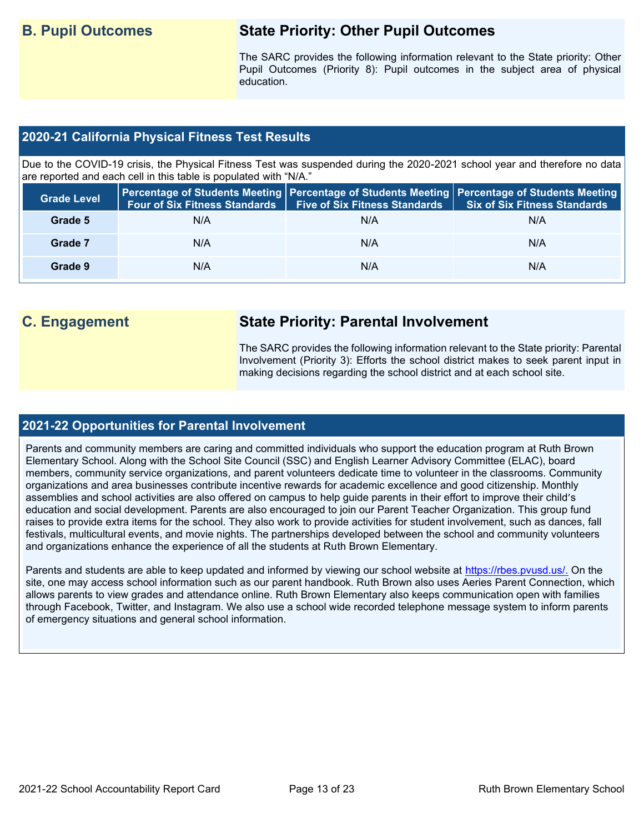## **B. Pupil Outcomes State Priority: Other Pupil Outcomes**

The SARC provides the following information relevant to the State priority: Other Pupil Outcomes (Priority 8): Pupil outcomes in the subject area of physical education.

## **2020-21 California Physical Fitness Test Results**

Due to the COVID-19 crisis, the Physical Fitness Test was suspended during the 2020-2021 school year and therefore no data are reported and each cell in this table is populated with "N/A."

| <b>Grade Level</b> | <b>Four of Six Fitness Standards</b> | <b>Five of Six Fitness Standards</b> | Percentage of Students Meeting   Percentage of Students Meeting   Percentage of Students Meeting  <br><b>Six of Six Fitness Standards</b> |
|--------------------|--------------------------------------|--------------------------------------|-------------------------------------------------------------------------------------------------------------------------------------------|
| Grade 5            | N/A                                  | N/A                                  | N/A                                                                                                                                       |
| Grade 7            | N/A                                  | N/A                                  | N/A                                                                                                                                       |
| Grade 9            | N/A                                  | N/A                                  | N/A                                                                                                                                       |

## **C. Engagement State Priority: Parental Involvement**

The SARC provides the following information relevant to the State priority: Parental Involvement (Priority 3): Efforts the school district makes to seek parent input in making decisions regarding the school district and at each school site.

### **2021-22 Opportunities for Parental Involvement**

Parents and community members are caring and committed individuals who support the education program at Ruth Brown Elementary School. Along with the School Site Council (SSC) and English Learner Advisory Committee (ELAC), board members, community service organizations, and parent volunteers dedicate time to volunteer in the classrooms. Community organizations and area businesses contribute incentive rewards for academic excellence and good citizenship. Monthly assemblies and school activities are also offered on campus to help guide parents in their effort to improve their child's education and social development. Parents are also encouraged to join our Parent Teacher Organization. This group fund raises to provide extra items for the school. They also work to provide activities for student involvement, such as dances, fall festivals, multicultural events, and movie nights. The partnerships developed between the school and community volunteers and organizations enhance the experience of all the students at Ruth Brown Elementary.

Parents and students are able to keep updated and informed by viewing our school website at [https://rbes.pvusd.us/.](https://rbes.pvusd.us/) On the site, one may access school information such as our parent handbook. Ruth Brown also uses Aeries Parent Connection, which allows parents to view grades and attendance online. Ruth Brown Elementary also keeps communication open with families through Facebook, Twitter, and Instagram. We also use a school wide recorded telephone message system to inform parents of emergency situations and general school information.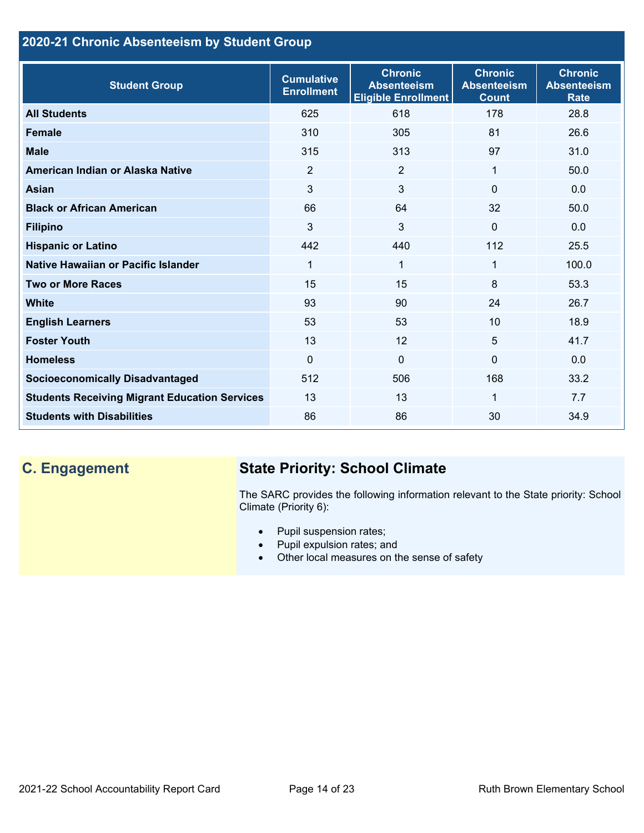## **2020-21 Chronic Absenteeism by Student Group**

| <b>Student Group</b>                                 | <b>Cumulative</b><br><b>Enrollment</b> | <b>Chronic</b><br><b>Absenteeism</b><br><b>Eligible Enrollment</b> | <b>Chronic</b><br><b>Absenteeism</b><br><b>Count</b> | <b>Chronic</b><br><b>Absenteeism</b><br><b>Rate</b> |
|------------------------------------------------------|----------------------------------------|--------------------------------------------------------------------|------------------------------------------------------|-----------------------------------------------------|
| <b>All Students</b>                                  | 625                                    | 618                                                                | 178                                                  | 28.8                                                |
| <b>Female</b>                                        | 310                                    | 305                                                                | 81                                                   | 26.6                                                |
| <b>Male</b>                                          | 315                                    | 313                                                                | 97                                                   | 31.0                                                |
| American Indian or Alaska Native                     | 2                                      | 2                                                                  | 1                                                    | 50.0                                                |
| <b>Asian</b>                                         | 3                                      | 3                                                                  | 0                                                    | 0.0                                                 |
| <b>Black or African American</b>                     | 66                                     | 64                                                                 | 32                                                   | 50.0                                                |
| <b>Filipino</b>                                      | 3                                      | 3                                                                  | $\mathbf{0}$                                         | 0.0                                                 |
| <b>Hispanic or Latino</b>                            | 442                                    | 440                                                                | 112                                                  | 25.5                                                |
| Native Hawaiian or Pacific Islander                  | 1                                      | 1                                                                  | 1                                                    | 100.0                                               |
| <b>Two or More Races</b>                             | 15                                     | 15                                                                 | 8                                                    | 53.3                                                |
| <b>White</b>                                         | 93                                     | 90                                                                 | 24                                                   | 26.7                                                |
| <b>English Learners</b>                              | 53                                     | 53                                                                 | 10                                                   | 18.9                                                |
| <b>Foster Youth</b>                                  | 13                                     | 12                                                                 | 5                                                    | 41.7                                                |
| <b>Homeless</b>                                      | 0                                      | $\mathbf 0$                                                        | $\Omega$                                             | 0.0                                                 |
| <b>Socioeconomically Disadvantaged</b>               | 512                                    | 506                                                                | 168                                                  | 33.2                                                |
| <b>Students Receiving Migrant Education Services</b> | 13                                     | 13                                                                 | 1                                                    | 7.7                                                 |
| <b>Students with Disabilities</b>                    | 86                                     | 86                                                                 | 30                                                   | 34.9                                                |

# **C. Engagement State Priority: School Climate**

The SARC provides the following information relevant to the State priority: School Climate (Priority 6):

- Pupil suspension rates;
- Pupil expulsion rates; and
- Other local measures on the sense of safety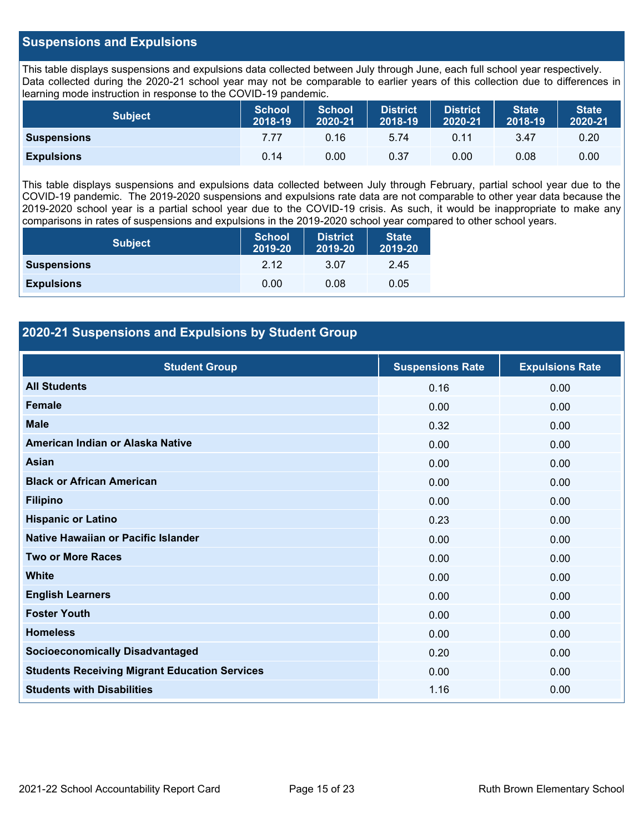## **Suspensions and Expulsions**

This table displays suspensions and expulsions data collected between July through June, each full school year respectively. Data collected during the 2020-21 school year may not be comparable to earlier years of this collection due to differences in learning mode instruction in response to the COVID-19 pandemic.

| <b>Subject</b>     | <b>School</b><br>2018-19 | <b>School</b><br>2020-21 | <b>District</b><br>2018-19 | <b>District</b><br>2020-21 | <b>State</b><br>2018-19 | <b>State</b><br>2020-21 |
|--------------------|--------------------------|--------------------------|----------------------------|----------------------------|-------------------------|-------------------------|
| <b>Suspensions</b> | 7.77                     | 0.16                     | 5.74                       | 0.11                       | 3.47                    | 0.20                    |
| <b>Expulsions</b>  | 0.14                     | 0.00                     | 0.37                       | 0.00                       | 0.08                    | 0.00                    |

This table displays suspensions and expulsions data collected between July through February, partial school year due to the COVID-19 pandemic. The 2019-2020 suspensions and expulsions rate data are not comparable to other year data because the 2019-2020 school year is a partial school year due to the COVID-19 crisis. As such, it would be inappropriate to make any comparisons in rates of suspensions and expulsions in the 2019-2020 school year compared to other school years.

| <b>Subject</b>     | <b>School</b><br>2019-20 | <b>District</b><br>2019-20 | <b>State</b><br>2019-20 |
|--------------------|--------------------------|----------------------------|-------------------------|
| <b>Suspensions</b> | 2.12                     | 3.07                       | 2.45                    |
| <b>Expulsions</b>  | 0.00                     | 0.08                       | 0.05                    |

## **2020-21 Suspensions and Expulsions by Student Group**

| <b>Student Group</b>                                 | <b>Suspensions Rate</b> | <b>Expulsions Rate</b> |
|------------------------------------------------------|-------------------------|------------------------|
| <b>All Students</b>                                  | 0.16                    | 0.00                   |
| <b>Female</b>                                        | 0.00                    | 0.00                   |
| <b>Male</b>                                          | 0.32                    | 0.00                   |
| American Indian or Alaska Native                     | 0.00                    | 0.00                   |
| <b>Asian</b>                                         | 0.00                    | 0.00                   |
| <b>Black or African American</b>                     | 0.00                    | 0.00                   |
| <b>Filipino</b>                                      | 0.00                    | 0.00                   |
| <b>Hispanic or Latino</b>                            | 0.23                    | 0.00                   |
| Native Hawaiian or Pacific Islander                  | 0.00                    | 0.00                   |
| <b>Two or More Races</b>                             | 0.00                    | 0.00                   |
| <b>White</b>                                         | 0.00                    | 0.00                   |
| <b>English Learners</b>                              | 0.00                    | 0.00                   |
| <b>Foster Youth</b>                                  | 0.00                    | 0.00                   |
| <b>Homeless</b>                                      | 0.00                    | 0.00                   |
| <b>Socioeconomically Disadvantaged</b>               | 0.20                    | 0.00                   |
| <b>Students Receiving Migrant Education Services</b> | 0.00                    | 0.00                   |
| <b>Students with Disabilities</b>                    | 1.16                    | 0.00                   |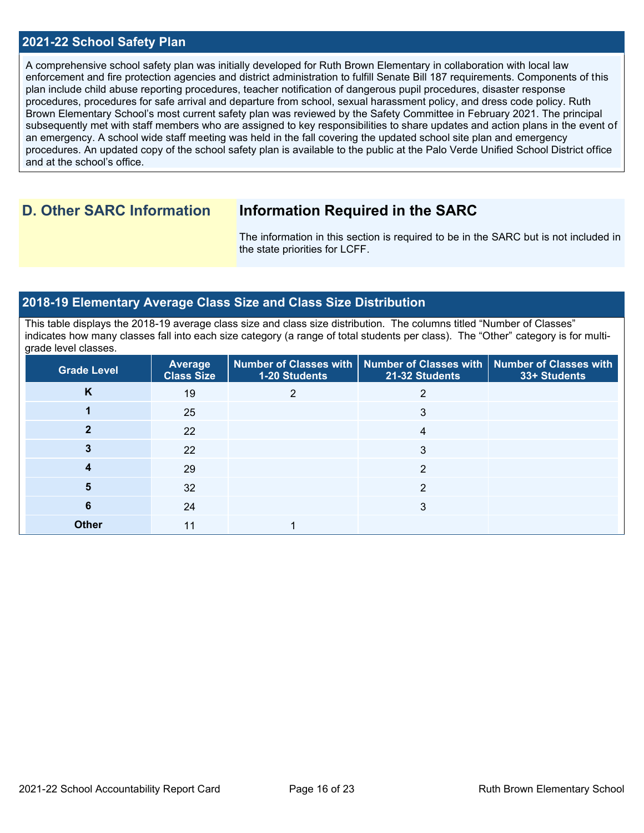## **2021-22 School Safety Plan**

A comprehensive school safety plan was initially developed for Ruth Brown Elementary in collaboration with local law enforcement and fire protection agencies and district administration to fulfill Senate Bill 187 requirements. Components of this plan include child abuse reporting procedures, teacher notification of dangerous pupil procedures, disaster response procedures, procedures for safe arrival and departure from school, sexual harassment policy, and dress code policy. Ruth Brown Elementary School's most current safety plan was reviewed by the Safety Committee in February 2021. The principal subsequently met with staff members who are assigned to key responsibilities to share updates and action plans in the event of an emergency. A school wide staff meeting was held in the fall covering the updated school site plan and emergency procedures. An updated copy of the school safety plan is available to the public at the Palo Verde Unified School District office and at the school's office.

## **D. Other SARC Information Information Required in the SARC**

The information in this section is required to be in the SARC but is not included in the state priorities for LCFF.

## **2018-19 Elementary Average Class Size and Class Size Distribution**

This table displays the 2018-19 average class size and class size distribution. The columns titled "Number of Classes" indicates how many classes fall into each size category (a range of total students per class). The "Other" category is for multigrade level classes.

| <b>Grade Level</b> | <b>Average</b><br><b>Class Size</b> | <b>1-20 Students</b> | Number of Classes with   Number of Classes with  <br>21-32 Students | <b>Number of Classes with</b><br>33+ Students |
|--------------------|-------------------------------------|----------------------|---------------------------------------------------------------------|-----------------------------------------------|
| K                  | 19                                  | 2                    | 2                                                                   |                                               |
|                    | 25                                  |                      | 3                                                                   |                                               |
| າ                  | 22                                  |                      | 4                                                                   |                                               |
| 3                  | 22                                  |                      | 3                                                                   |                                               |
|                    | 29                                  |                      | 2                                                                   |                                               |
| 5                  | 32                                  |                      | 2                                                                   |                                               |
| 6                  | 24                                  |                      | 3                                                                   |                                               |
| <b>Other</b>       | 11                                  |                      |                                                                     |                                               |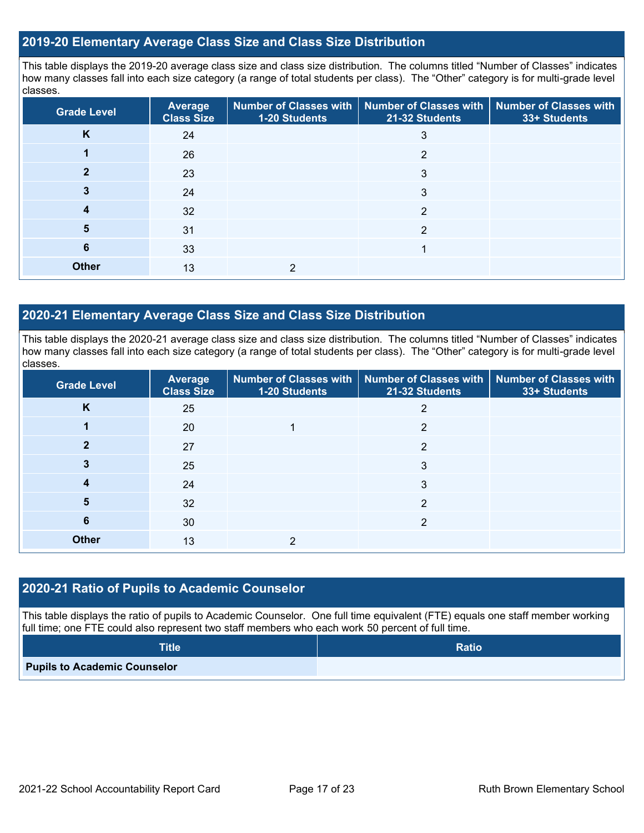## **2019-20 Elementary Average Class Size and Class Size Distribution**

This table displays the 2019-20 average class size and class size distribution. The columns titled "Number of Classes" indicates how many classes fall into each size category (a range of total students per class). The "Other" category is for multi-grade level classes.

| <b>Grade Level</b> | <b>Average</b><br><b>Class Size</b> | 1-20 Students | Number of Classes with   Number of Classes with   Number of Classes with<br>21-32 Students | 33+ Students |
|--------------------|-------------------------------------|---------------|--------------------------------------------------------------------------------------------|--------------|
| K                  | 24                                  |               | 3                                                                                          |              |
|                    | 26                                  |               | っ                                                                                          |              |
|                    | 23                                  |               | 3                                                                                          |              |
| 3                  | 24                                  |               | 3                                                                                          |              |
| 4                  | 32                                  |               | $\overline{2}$                                                                             |              |
| 5                  | 31                                  |               | っ                                                                                          |              |
| 6                  | 33                                  |               |                                                                                            |              |
| <b>Other</b>       | 13                                  | っ             |                                                                                            |              |

## **2020-21 Elementary Average Class Size and Class Size Distribution**

This table displays the 2020-21 average class size and class size distribution. The columns titled "Number of Classes" indicates how many classes fall into each size category (a range of total students per class). The "Other" category is for multi-grade level classes.

| <b>Grade Level</b> | <b>Average</b><br><b>Class Size</b> | 1-20 Students | Number of Classes with   Number of Classes with  <br>21-32 Students | Number of Classes with<br>33+ Students |
|--------------------|-------------------------------------|---------------|---------------------------------------------------------------------|----------------------------------------|
| K                  | 25                                  |               | 2                                                                   |                                        |
|                    | 20                                  |               | $\overline{2}$                                                      |                                        |
| 2                  | 27                                  |               | C                                                                   |                                        |
|                    | 25                                  |               | 3                                                                   |                                        |
| 4                  | 24                                  |               | 3                                                                   |                                        |
| 5                  | 32                                  |               | 2                                                                   |                                        |
| 6                  | 30                                  |               | 2                                                                   |                                        |
| <b>Other</b>       | 13                                  |               |                                                                     |                                        |

### **2020-21 Ratio of Pupils to Academic Counselor**

This table displays the ratio of pupils to Academic Counselor. One full time equivalent (FTE) equals one staff member working full time; one FTE could also represent two staff members who each work 50 percent of full time.

| <b>Title</b>                        | <b>Ratio</b> |
|-------------------------------------|--------------|
| <b>Pupils to Academic Counselor</b> |              |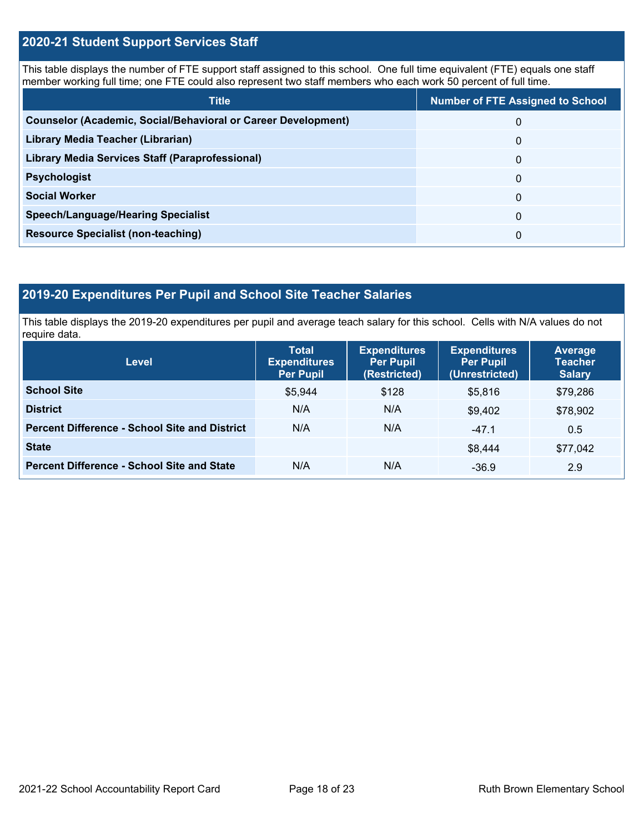## **2020-21 Student Support Services Staff**

This table displays the number of FTE support staff assigned to this school. One full time equivalent (FTE) equals one staff member working full time; one FTE could also represent two staff members who each work 50 percent of full time.

| <b>Title</b>                                                         | <b>Number of FTE Assigned to School</b> |
|----------------------------------------------------------------------|-----------------------------------------|
| <b>Counselor (Academic, Social/Behavioral or Career Development)</b> | 0                                       |
| Library Media Teacher (Librarian)                                    | 0                                       |
| Library Media Services Staff (Paraprofessional)                      | 0                                       |
| <b>Psychologist</b>                                                  | 0                                       |
| <b>Social Worker</b>                                                 | $\Omega$                                |
| <b>Speech/Language/Hearing Specialist</b>                            | 0                                       |
| <b>Resource Specialist (non-teaching)</b>                            | 0                                       |

## **2019-20 Expenditures Per Pupil and School Site Teacher Salaries**

This table displays the 2019-20 expenditures per pupil and average teach salary for this school. Cells with N/A values do not require data.

| <b>Level</b>                                         | <b>Total</b><br><b>Expenditures</b><br><b>Per Pupil</b> | <b>Expenditures</b><br><b>Per Pupil</b><br>(Restricted) | <b>Expenditures</b><br><b>Per Pupil</b><br>(Unrestricted) | <b>Average</b><br><b>Teacher</b><br><b>Salary</b> |
|------------------------------------------------------|---------------------------------------------------------|---------------------------------------------------------|-----------------------------------------------------------|---------------------------------------------------|
| <b>School Site</b>                                   | \$5,944                                                 | \$128                                                   | \$5,816                                                   | \$79,286                                          |
| <b>District</b>                                      | N/A                                                     | N/A                                                     | \$9.402                                                   | \$78,902                                          |
| <b>Percent Difference - School Site and District</b> | N/A                                                     | N/A                                                     | $-47.1$                                                   | 0.5                                               |
| <b>State</b>                                         |                                                         |                                                         | \$8,444                                                   | \$77,042                                          |
| <b>Percent Difference - School Site and State</b>    | N/A                                                     | N/A                                                     | $-36.9$                                                   | 2.9                                               |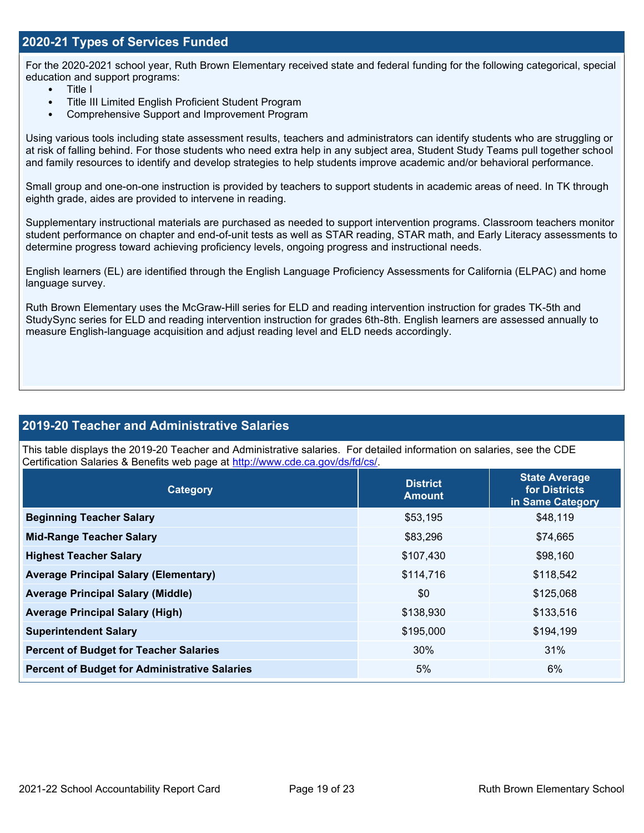## **2020-21 Types of Services Funded**

For the 2020-2021 school year, Ruth Brown Elementary received state and federal funding for the following categorical, special education and support programs:

- Title I
- Title III Limited English Proficient Student Program
- Comprehensive Support and Improvement Program

Using various tools including state assessment results, teachers and administrators can identify students who are struggling or at risk of falling behind. For those students who need extra help in any subject area, Student Study Teams pull together school and family resources to identify and develop strategies to help students improve academic and/or behavioral performance.

Small group and one-on-one instruction is provided by teachers to support students in academic areas of need. In TK through eighth grade, aides are provided to intervene in reading.

Supplementary instructional materials are purchased as needed to support intervention programs. Classroom teachers monitor student performance on chapter and end-of-unit tests as well as STAR reading, STAR math, and Early Literacy assessments to determine progress toward achieving proficiency levels, ongoing progress and instructional needs.

English learners (EL) are identified through the English Language Proficiency Assessments for California (ELPAC) and home language survey.

Ruth Brown Elementary uses the McGraw-Hill series for ELD and reading intervention instruction for grades TK-5th and StudySync series for ELD and reading intervention instruction for grades 6th-8th. English learners are assessed annually to measure English-language acquisition and adjust reading level and ELD needs accordingly.

## **2019-20 Teacher and Administrative Salaries**

This table displays the 2019-20 Teacher and Administrative salaries. For detailed information on salaries, see the CDE Certification Salaries & Benefits web page at [http://www.cde.ca.gov/ds/fd/cs/.](http://www.cde.ca.gov/ds/fd/cs/)

| Category                                             | <b>District</b><br><b>Amount</b> | <b>State Average</b><br>for Districts<br>in Same Category |
|------------------------------------------------------|----------------------------------|-----------------------------------------------------------|
| <b>Beginning Teacher Salary</b>                      | \$53,195                         | \$48,119                                                  |
| <b>Mid-Range Teacher Salary</b>                      | \$83,296                         | \$74,665                                                  |
| <b>Highest Teacher Salary</b>                        | \$107,430                        | \$98,160                                                  |
| <b>Average Principal Salary (Elementary)</b>         | \$114,716                        | \$118,542                                                 |
| <b>Average Principal Salary (Middle)</b>             | \$0                              | \$125,068                                                 |
| <b>Average Principal Salary (High)</b>               | \$138,930                        | \$133,516                                                 |
| <b>Superintendent Salary</b>                         | \$195,000                        | \$194,199                                                 |
| <b>Percent of Budget for Teacher Salaries</b>        | 30%                              | 31%                                                       |
| <b>Percent of Budget for Administrative Salaries</b> | 5%                               | 6%                                                        |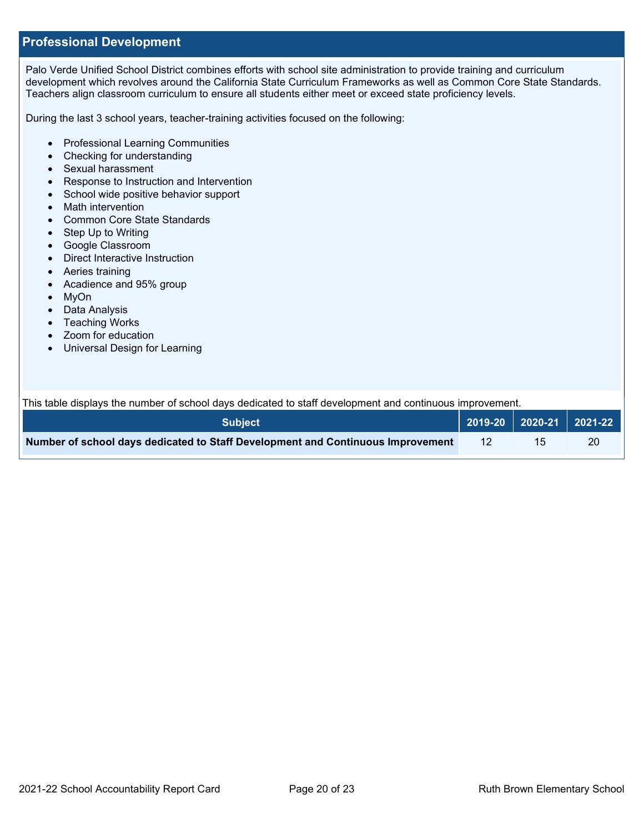## **Professional Development**

Palo Verde Unified School District combines efforts with school site administration to provide training and curriculum development which revolves around the California State Curriculum Frameworks as well as Common Core State Standards. Teachers align classroom curriculum to ensure all students either meet or exceed state proficiency levels.

During the last 3 school years, teacher-training activities focused on the following:

- Professional Learning Communities
- Checking for understanding
- Sexual harassment
- Response to Instruction and Intervention
- School wide positive behavior support
- Math intervention
- Common Core State Standards
- Step Up to Writing
- Google Classroom
- Direct Interactive Instruction
- Aeries training
- Acadience and 95% group
- MyOn
- Data Analysis
- Teaching Works
- Zoom for education
- Universal Design for Learning

This table displays the number of school days dedicated to staff development and continuous improvement.

| ⊦Subiect \                                                                      |  | 2019-20 2020-21 2021-22 |
|---------------------------------------------------------------------------------|--|-------------------------|
| Number of school days dedicated to Staff Development and Continuous Improvement |  | 20                      |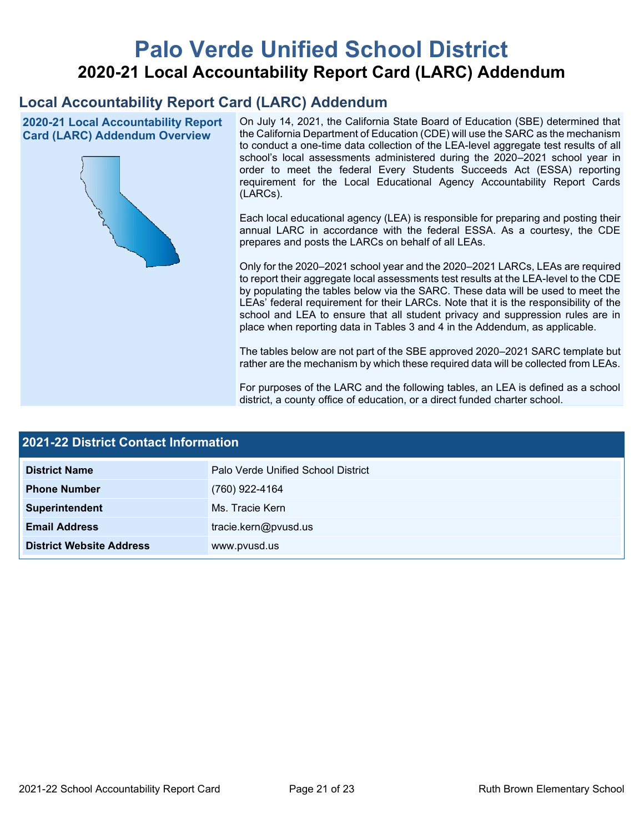# **Palo Verde Unified School District 2020-21 Local Accountability Report Card (LARC) Addendum**

## **Local Accountability Report Card (LARC) Addendum**

**2020-21 Local Accountability Report Card (LARC) Addendum Overview**



On July 14, 2021, the California State Board of Education (SBE) determined that the California Department of Education (CDE) will use the SARC as the mechanism to conduct a one-time data collection of the LEA-level aggregate test results of all school's local assessments administered during the 2020–2021 school year in order to meet the federal Every Students Succeeds Act (ESSA) reporting requirement for the Local Educational Agency Accountability Report Cards (LARCs).

Each local educational agency (LEA) is responsible for preparing and posting their annual LARC in accordance with the federal ESSA. As a courtesy, the CDE prepares and posts the LARCs on behalf of all LEAs.

Only for the 2020–2021 school year and the 2020–2021 LARCs, LEAs are required to report their aggregate local assessments test results at the LEA-level to the CDE by populating the tables below via the SARC. These data will be used to meet the LEAs' federal requirement for their LARCs. Note that it is the responsibility of the school and LEA to ensure that all student privacy and suppression rules are in place when reporting data in Tables 3 and 4 in the Addendum, as applicable.

The tables below are not part of the SBE approved 2020–2021 SARC template but rather are the mechanism by which these required data will be collected from LEAs.

For purposes of the LARC and the following tables, an LEA is defined as a school district, a county office of education, or a direct funded charter school.

| <b>2021-22 District Contact Information</b> |                                    |  |  |  |
|---------------------------------------------|------------------------------------|--|--|--|
| <b>District Name</b>                        | Palo Verde Unified School District |  |  |  |
| <b>Phone Number</b>                         | (760) 922-4164                     |  |  |  |
| Superintendent                              | Ms. Tracie Kern                    |  |  |  |
| <b>Email Address</b>                        | tracie.kern@pvusd.us               |  |  |  |
| <b>District Website Address</b>             | www.pvusd.us                       |  |  |  |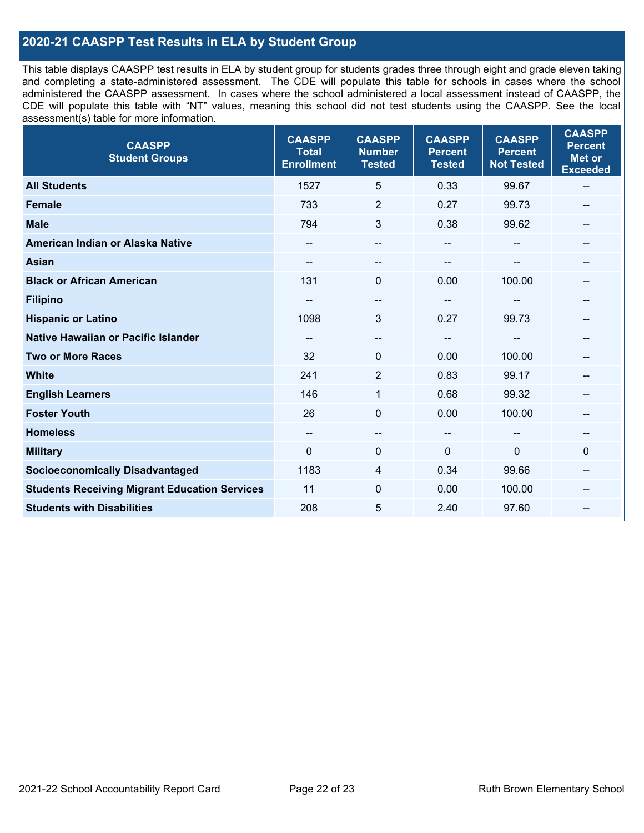## **2020-21 CAASPP Test Results in ELA by Student Group**

This table displays CAASPP test results in ELA by student group for students grades three through eight and grade eleven taking and completing a state-administered assessment. The CDE will populate this table for schools in cases where the school administered the CAASPP assessment. In cases where the school administered a local assessment instead of CAASPP, the CDE will populate this table with "NT" values, meaning this school did not test students using the CAASPP. See the local assessment(s) table for more information.

| <b>CAASPP</b><br><b>Student Groups</b>               | <b>CAASPP</b><br><b>Total</b><br><b>Enrollment</b> | <b>CAASPP</b><br><b>Number</b><br><b>Tested</b> | <b>CAASPP</b><br><b>Percent</b><br><b>Tested</b> | <b>CAASPP</b><br><b>Percent</b><br><b>Not Tested</b> | <b>CAASPP</b><br><b>Percent</b><br><b>Met or</b><br><b>Exceeded</b> |
|------------------------------------------------------|----------------------------------------------------|-------------------------------------------------|--------------------------------------------------|------------------------------------------------------|---------------------------------------------------------------------|
| <b>All Students</b>                                  | 1527                                               | 5                                               | 0.33                                             | 99.67                                                | $\qquad \qquad -$                                                   |
| <b>Female</b>                                        | 733                                                | $\overline{2}$                                  | 0.27                                             | 99.73                                                |                                                                     |
| <b>Male</b>                                          | 794                                                | 3                                               | 0.38                                             | 99.62                                                | --                                                                  |
| American Indian or Alaska Native                     | $- -$                                              | --                                              | $- -$                                            |                                                      | --                                                                  |
| <b>Asian</b>                                         |                                                    | --                                              |                                                  |                                                      |                                                                     |
| <b>Black or African American</b>                     | 131                                                | 0                                               | 0.00                                             | 100.00                                               | --                                                                  |
| <b>Filipino</b>                                      |                                                    | --                                              |                                                  |                                                      |                                                                     |
| <b>Hispanic or Latino</b>                            | 1098                                               | 3                                               | 0.27                                             | 99.73                                                | --                                                                  |
| Native Hawaiian or Pacific Islander                  | $\qquad \qquad -$                                  | --                                              | $\overline{\phantom{a}}$                         | --                                                   | --                                                                  |
| <b>Two or More Races</b>                             | 32                                                 | 0                                               | 0.00                                             | 100.00                                               | --                                                                  |
| <b>White</b>                                         | 241                                                | $\overline{2}$                                  | 0.83                                             | 99.17                                                | --                                                                  |
| <b>English Learners</b>                              | 146                                                | 1                                               | 0.68                                             | 99.32                                                |                                                                     |
| <b>Foster Youth</b>                                  | 26                                                 | $\mathbf 0$                                     | 0.00                                             | 100.00                                               |                                                                     |
| <b>Homeless</b>                                      | $\qquad \qquad -$                                  | $- -$                                           | $\sim$                                           |                                                      | --                                                                  |
| <b>Military</b>                                      | $\Omega$                                           | 0                                               | 0                                                | $\mathbf{0}$                                         | $\mathbf 0$                                                         |
| <b>Socioeconomically Disadvantaged</b>               | 1183                                               | 4                                               | 0.34                                             | 99.66                                                | --                                                                  |
| <b>Students Receiving Migrant Education Services</b> | 11                                                 | $\mathbf{0}$                                    | 0.00                                             | 100.00                                               |                                                                     |
| <b>Students with Disabilities</b>                    | 208                                                | 5                                               | 2.40                                             | 97.60                                                |                                                                     |